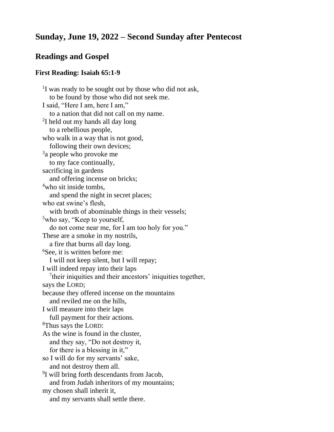# **Sunday, June 19, 2022 – Second Sunday after Pentecost**

# **Readings and Gospel**

### **First Reading: Isaiah 65:1-9**

<sup>1</sup>I was ready to be sought out by those who did not ask, to be found by those who did not seek me. I said, "Here I am, here I am," to a nation that did not call on my name. <sup>2</sup>I held out my hands all day long to a rebellious people, who walk in a way that is not good, following their own devices; <sup>3</sup>a people who provoke me to my face continually, sacrificing in gardens and offering incense on bricks; <sup>4</sup>who sit inside tombs, and spend the night in secret places; who eat swine's flesh, with broth of abominable things in their vessels; <sup>5</sup>who say, "Keep to yourself, do not come near me, for I am too holy for you." These are a smoke in my nostrils, a fire that burns all day long. <sup>6</sup>See, it is written before me: I will not keep silent, but I will repay; I will indeed repay into their laps <sup>7</sup>their iniquities and their ancestors' iniquities together, says the LORD; because they offered incense on the mountains and reviled me on the hills, I will measure into their laps full payment for their actions. <sup>8</sup>Thus says the LORD: As the wine is found in the cluster, and they say, "Do not destroy it, for there is a blessing in it," so I will do for my servants' sake, and not destroy them all. <sup>9</sup>I will bring forth descendants from Jacob, and from Judah inheritors of my mountains; my chosen shall inherit it, and my servants shall settle there.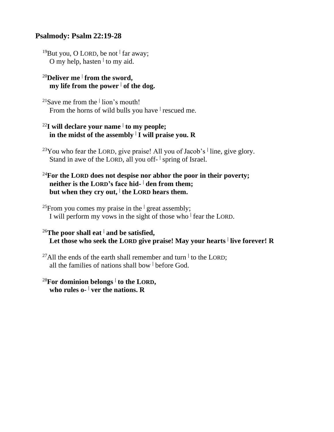# **Psalmody: Psalm 22:19-28**

<sup>19</sup>But you, O LORD, be not **<sup>|</sup>** far away; O my help, hasten **<sup>|</sup>** to my aid.

### <sup>20</sup>**Deliver me <sup>|</sup> from the sword, my** life from the power  $\vert$  of the dog.

<sup>21</sup>Save me from the **<sup>|</sup>** lion's mouth! From the horns of wild bulls you have **<sup>|</sup>** rescued me.

# <sup>22</sup>**I will declare your name <sup>|</sup> to my people; in the midst of the assembly <sup>|</sup> I will praise you. R**

<sup>23</sup>You who fear the LORD, give praise! All you of Jacob's **<sup>|</sup>** line, give glory. Stand in awe of the LORD, all you off- <sup>|</sup> spring of Israel.

# <sup>24</sup>**For the LORD does not despise nor abhor the poor in their poverty; neither is the LORD's face hid- <sup>|</sup> den from them; but when they cry out, <sup>|</sup> the LORD hears them.**

<sup>25</sup>From you comes my praise in the  $\frac{1}{2}$  great assembly; I will perform my vows in the sight of those who **<sup>|</sup>** fear the LORD.

# <sup>26</sup>**The poor shall eat <sup>|</sup> and be satisfied, Let those who seek the LORD give praise! May your hearts <sup>|</sup> live forever! R**

<sup>27</sup>All the ends of the earth shall remember and turn <sup>|</sup> to the LORD; all the families of nations shall bow **<sup>|</sup>** before God.

### <sup>28</sup>**For dominion belongs <sup>|</sup> to the LORD, who rules o- <sup>|</sup> ver the nations. R**